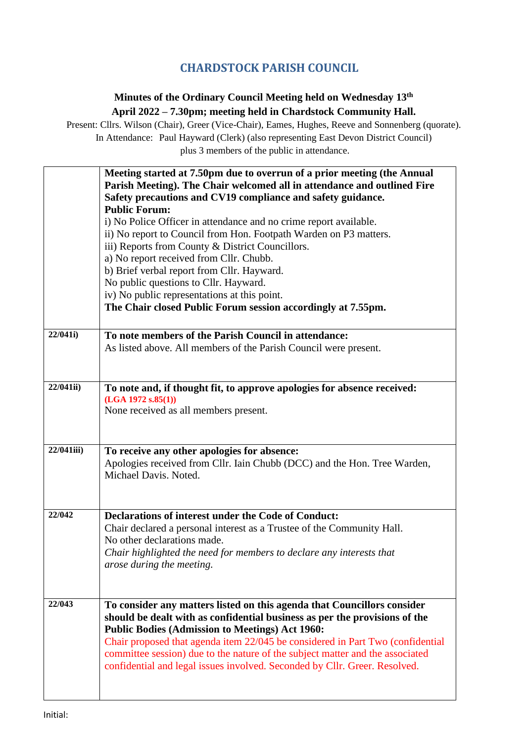## **CHARDSTOCK PARISH COUNCIL**

## **Minutes of the Ordinary Council Meeting held on Wednesday 13th April 2022 – 7.30pm; meeting held in Chardstock Community Hall.**

Present: Cllrs. Wilson (Chair), Greer (Vice-Chair), Eames, Hughes, Reeve and Sonnenberg (quorate). In Attendance: Paul Hayward (Clerk) (also representing East Devon District Council) plus 3 members of the public in attendance.

|            | Meeting started at 7.50pm due to overrun of a prior meeting (the Annual<br>Parish Meeting). The Chair welcomed all in attendance and outlined Fire<br>Safety precautions and CV19 compliance and safety guidance.<br><b>Public Forum:</b><br>i) No Police Officer in attendance and no crime report available.<br>ii) No report to Council from Hon. Footpath Warden on P3 matters.<br>iii) Reports from County & District Councillors.<br>a) No report received from Cllr. Chubb.<br>b) Brief verbal report from Cllr. Hayward.<br>No public questions to Cllr. Hayward.<br>iv) No public representations at this point.<br>The Chair closed Public Forum session accordingly at 7.55pm. |
|------------|-------------------------------------------------------------------------------------------------------------------------------------------------------------------------------------------------------------------------------------------------------------------------------------------------------------------------------------------------------------------------------------------------------------------------------------------------------------------------------------------------------------------------------------------------------------------------------------------------------------------------------------------------------------------------------------------|
| 22/041i)   | To note members of the Parish Council in attendance:<br>As listed above. All members of the Parish Council were present.                                                                                                                                                                                                                                                                                                                                                                                                                                                                                                                                                                  |
| 22/041ii)  | To note and, if thought fit, to approve apologies for absence received:<br>(LGA 1972 s.85(1))<br>None received as all members present.                                                                                                                                                                                                                                                                                                                                                                                                                                                                                                                                                    |
| 22/041iii) | To receive any other apologies for absence:<br>Apologies received from Cllr. Iain Chubb (DCC) and the Hon. Tree Warden,<br>Michael Davis. Noted.                                                                                                                                                                                                                                                                                                                                                                                                                                                                                                                                          |
| 22/042     | <b>Declarations of interest under the Code of Conduct:</b><br>Chair declared a personal interest as a Trustee of the Community Hall.<br>No other declarations made.<br>Chair highlighted the need for members to declare any interests that<br>arose during the meeting.                                                                                                                                                                                                                                                                                                                                                                                                                  |
| 22/043     | To consider any matters listed on this agenda that Councillors consider<br>should be dealt with as confidential business as per the provisions of the<br><b>Public Bodies (Admission to Meetings) Act 1960:</b><br>Chair proposed that agenda item 22/045 be considered in Part Two (confidential<br>committee session) due to the nature of the subject matter and the associated<br>confidential and legal issues involved. Seconded by Cllr. Greer. Resolved.                                                                                                                                                                                                                          |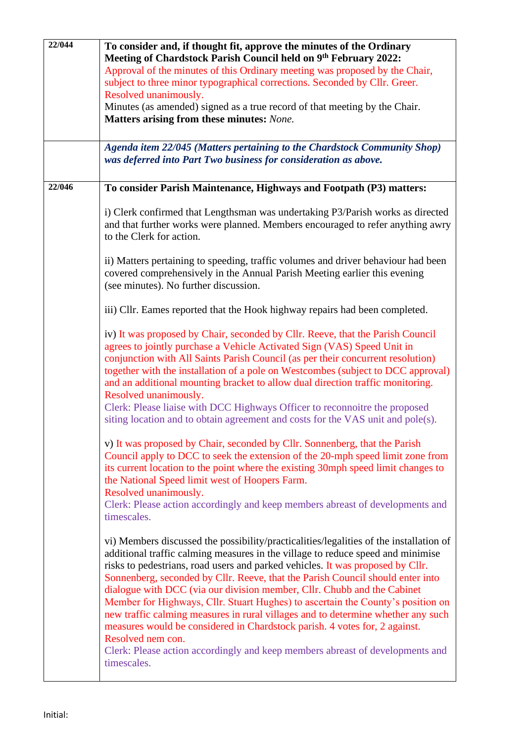| 22/044 | To consider and, if thought fit, approve the minutes of the Ordinary<br>Meeting of Chardstock Parish Council held on 9th February 2022:<br>Approval of the minutes of this Ordinary meeting was proposed by the Chair,<br>subject to three minor typographical corrections. Seconded by Cllr. Greer.                                                                                                                                                                                                                                                                                                                                                                                                                                                                                               |  |  |  |
|--------|----------------------------------------------------------------------------------------------------------------------------------------------------------------------------------------------------------------------------------------------------------------------------------------------------------------------------------------------------------------------------------------------------------------------------------------------------------------------------------------------------------------------------------------------------------------------------------------------------------------------------------------------------------------------------------------------------------------------------------------------------------------------------------------------------|--|--|--|
|        |                                                                                                                                                                                                                                                                                                                                                                                                                                                                                                                                                                                                                                                                                                                                                                                                    |  |  |  |
|        | Resolved unanimously.<br>Minutes (as amended) signed as a true record of that meeting by the Chair.                                                                                                                                                                                                                                                                                                                                                                                                                                                                                                                                                                                                                                                                                                |  |  |  |
|        | Matters arising from these minutes: None.                                                                                                                                                                                                                                                                                                                                                                                                                                                                                                                                                                                                                                                                                                                                                          |  |  |  |
|        | Agenda item 22/045 (Matters pertaining to the Chardstock Community Shop)<br>was deferred into Part Two business for consideration as above.                                                                                                                                                                                                                                                                                                                                                                                                                                                                                                                                                                                                                                                        |  |  |  |
| 22/046 | To consider Parish Maintenance, Highways and Footpath (P3) matters:                                                                                                                                                                                                                                                                                                                                                                                                                                                                                                                                                                                                                                                                                                                                |  |  |  |
|        | i) Clerk confirmed that Lengthsman was undertaking P3/Parish works as directed<br>and that further works were planned. Members encouraged to refer anything awry<br>to the Clerk for action.                                                                                                                                                                                                                                                                                                                                                                                                                                                                                                                                                                                                       |  |  |  |
|        | ii) Matters pertaining to speeding, traffic volumes and driver behaviour had been<br>covered comprehensively in the Annual Parish Meeting earlier this evening<br>(see minutes). No further discussion.                                                                                                                                                                                                                                                                                                                                                                                                                                                                                                                                                                                            |  |  |  |
|        | iii) Cllr. Eames reported that the Hook highway repairs had been completed.                                                                                                                                                                                                                                                                                                                                                                                                                                                                                                                                                                                                                                                                                                                        |  |  |  |
|        | iv) It was proposed by Chair, seconded by Cllr. Reeve, that the Parish Council<br>agrees to jointly purchase a Vehicle Activated Sign (VAS) Speed Unit in<br>conjunction with All Saints Parish Council (as per their concurrent resolution)<br>together with the installation of a pole on Westcombes (subject to DCC approval)<br>and an additional mounting bracket to allow dual direction traffic monitoring.<br>Resolved unanimously.<br>Clerk: Please liaise with DCC Highways Officer to reconnoitre the proposed<br>siting location and to obtain agreement and costs for the VAS unit and pole(s).                                                                                                                                                                                       |  |  |  |
|        | v) It was proposed by Chair, seconded by Cllr. Sonnenberg, that the Parish<br>Council apply to DCC to seek the extension of the 20-mph speed limit zone from<br>its current location to the point where the existing 30mph speed limit changes to<br>the National Speed limit west of Hoopers Farm.<br>Resolved unanimously.                                                                                                                                                                                                                                                                                                                                                                                                                                                                       |  |  |  |
|        | Clerk: Please action accordingly and keep members abreast of developments and<br>timescales.                                                                                                                                                                                                                                                                                                                                                                                                                                                                                                                                                                                                                                                                                                       |  |  |  |
|        | vi) Members discussed the possibility/practicalities/legalities of the installation of<br>additional traffic calming measures in the village to reduce speed and minimise<br>risks to pedestrians, road users and parked vehicles. It was proposed by Cllr.<br>Sonnenberg, seconded by Cllr. Reeve, that the Parish Council should enter into<br>dialogue with DCC (via our division member, Cllr. Chubb and the Cabinet<br>Member for Highways, Cllr. Stuart Hughes) to ascertain the County's position on<br>new traffic calming measures in rural villages and to determine whether any such<br>measures would be considered in Chardstock parish. 4 votes for, 2 against.<br>Resolved nem con.<br>Clerk: Please action accordingly and keep members abreast of developments and<br>timescales. |  |  |  |

 $\mathsf{l}$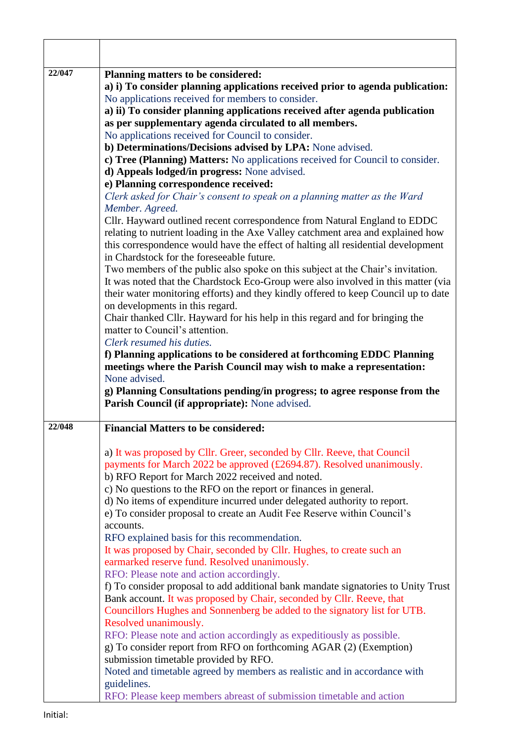| 22/047 | Planning matters to be considered:<br>a) i) To consider planning applications received prior to agenda publication: |
|--------|---------------------------------------------------------------------------------------------------------------------|
|        | No applications received for members to consider.                                                                   |
|        | a) ii) To consider planning applications received after agenda publication                                          |
|        | as per supplementary agenda circulated to all members.                                                              |
|        | No applications received for Council to consider.                                                                   |
|        | b) Determinations/Decisions advised by LPA: None advised.                                                           |
|        | c) Tree (Planning) Matters: No applications received for Council to consider.                                       |
|        | d) Appeals lodged/in progress: None advised.                                                                        |
|        | e) Planning correspondence received:                                                                                |
|        | Clerk asked for Chair's consent to speak on a planning matter as the Ward                                           |
|        | Member. Agreed.                                                                                                     |
|        | Cllr. Hayward outlined recent correspondence from Natural England to EDDC                                           |
|        | relating to nutrient loading in the Axe Valley catchment area and explained how                                     |
|        | this correspondence would have the effect of halting all residential development                                    |
|        | in Chardstock for the foreseeable future.                                                                           |
|        | Two members of the public also spoke on this subject at the Chair's invitation.                                     |
|        | It was noted that the Chardstock Eco-Group were also involved in this matter (via                                   |
|        | their water monitoring efforts) and they kindly offered to keep Council up to date                                  |
|        | on developments in this regard.                                                                                     |
|        | Chair thanked Cllr. Hayward for his help in this regard and for bringing the                                        |
|        | matter to Council's attention.                                                                                      |
|        | Clerk resumed his duties.                                                                                           |
|        | f) Planning applications to be considered at forthcoming EDDC Planning                                              |
|        | meetings where the Parish Council may wish to make a representation:                                                |
|        | None advised.                                                                                                       |
|        | g) Planning Consultations pending/in progress; to agree response from the                                           |
|        | Parish Council (if appropriate): None advised.                                                                      |
| 22/048 | <b>Financial Matters to be considered:</b>                                                                          |
|        | a) It was proposed by Cllr. Greer, seconded by Cllr. Reeve, that Council                                            |
|        | payments for March 2022 be approved $(\text{\textsterling}2694.87)$ . Resolved unanimously.                         |
|        | b) RFO Report for March 2022 received and noted.                                                                    |
|        | c) No questions to the RFO on the report or finances in general.                                                    |
|        | d) No items of expenditure incurred under delegated authority to report.                                            |
|        | e) To consider proposal to create an Audit Fee Reserve within Council's                                             |
|        | accounts.                                                                                                           |
|        | RFO explained basis for this recommendation.                                                                        |
|        | It was proposed by Chair, seconded by Cllr. Hughes, to create such an                                               |
|        | earmarked reserve fund. Resolved unanimously.                                                                       |
|        | RFO: Please note and action accordingly.                                                                            |
|        | f) To consider proposal to add additional bank mandate signatories to Unity Trust                                   |
|        | Bank account. It was proposed by Chair, seconded by Cllr. Reeve, that                                               |
|        | Councillors Hughes and Sonnenberg be added to the signatory list for UTB.                                           |
|        | Resolved unanimously.                                                                                               |
|        | RFO: Please note and action accordingly as expeditiously as possible.                                               |
|        | g) To consider report from RFO on forthcoming AGAR (2) (Exemption)                                                  |
|        | submission timetable provided by RFO.                                                                               |
|        | Noted and timetable agreed by members as realistic and in accordance with                                           |
|        | guidelines.                                                                                                         |
|        | RFO: Please keep members abreast of submission timetable and action                                                 |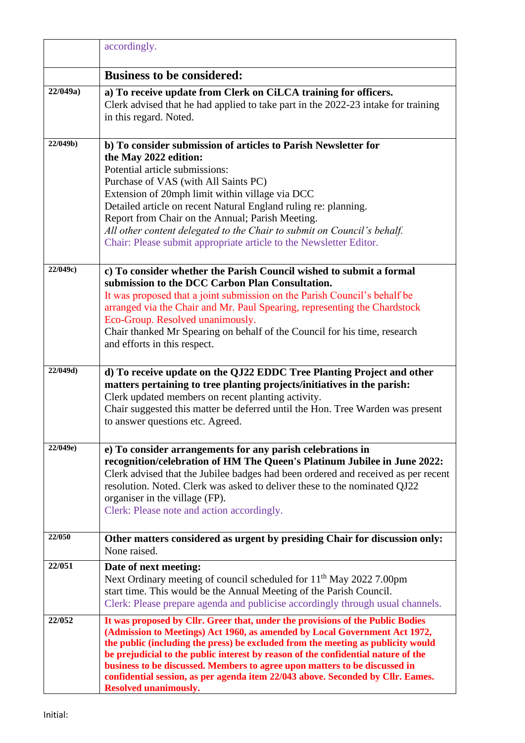|          | accordingly.                                                                                                                                                                                                                                                                                                                                                                                                                                                                                                                           |  |  |
|----------|----------------------------------------------------------------------------------------------------------------------------------------------------------------------------------------------------------------------------------------------------------------------------------------------------------------------------------------------------------------------------------------------------------------------------------------------------------------------------------------------------------------------------------------|--|--|
|          | <b>Business to be considered:</b>                                                                                                                                                                                                                                                                                                                                                                                                                                                                                                      |  |  |
| 22/049a) | a) To receive update from Clerk on CiLCA training for officers.<br>Clerk advised that he had applied to take part in the 2022-23 intake for training<br>in this regard. Noted.                                                                                                                                                                                                                                                                                                                                                         |  |  |
| 22/049b) | b) To consider submission of articles to Parish Newsletter for<br>the May 2022 edition:<br>Potential article submissions:<br>Purchase of VAS (with All Saints PC)<br>Extension of 20mph limit within village via DCC<br>Detailed article on recent Natural England ruling re: planning.<br>Report from Chair on the Annual; Parish Meeting.<br>All other content delegated to the Chair to submit on Council's behalf.<br>Chair: Please submit appropriate article to the Newsletter Editor.                                           |  |  |
| 22/049c) | c) To consider whether the Parish Council wished to submit a formal<br>submission to the DCC Carbon Plan Consultation.<br>It was proposed that a joint submission on the Parish Council's behalf be<br>arranged via the Chair and Mr. Paul Spearing, representing the Chardstock<br>Eco-Group. Resolved unanimously.<br>Chair thanked Mr Spearing on behalf of the Council for his time, research<br>and efforts in this respect.                                                                                                      |  |  |
| 22/049d) | d) To receive update on the QJ22 EDDC Tree Planting Project and other<br>matters pertaining to tree planting projects/initiatives in the parish:<br>Clerk updated members on recent planting activity.<br>Chair suggested this matter be deferred until the Hon. Tree Warden was present<br>to answer questions etc. Agreed.                                                                                                                                                                                                           |  |  |
| 22/049e) | e) To consider arrangements for any parish celebrations in<br>recognition/celebration of HM The Queen's Platinum Jubilee in June 2022:<br>Clerk advised that the Jubilee badges had been ordered and received as per recent<br>resolution. Noted. Clerk was asked to deliver these to the nominated QJ22<br>organiser in the village (FP).<br>Clerk: Please note and action accordingly.                                                                                                                                               |  |  |
| 22/050   | Other matters considered as urgent by presiding Chair for discussion only:<br>None raised.                                                                                                                                                                                                                                                                                                                                                                                                                                             |  |  |
| 22/051   | Date of next meeting:<br>Next Ordinary meeting of council scheduled for 11 <sup>th</sup> May 2022 7.00pm<br>start time. This would be the Annual Meeting of the Parish Council.<br>Clerk: Please prepare agenda and publicise accordingly through usual channels.                                                                                                                                                                                                                                                                      |  |  |
| 22/052   | It was proposed by Cllr. Greer that, under the provisions of the Public Bodies<br>(Admission to Meetings) Act 1960, as amended by Local Government Act 1972,<br>the public (including the press) be excluded from the meeting as publicity would<br>be prejudicial to the public interest by reason of the confidential nature of the<br>business to be discussed. Members to agree upon matters to be discussed in<br>confidential session, as per agenda item 22/043 above. Seconded by Cllr. Eames.<br><b>Resolved unanimously.</b> |  |  |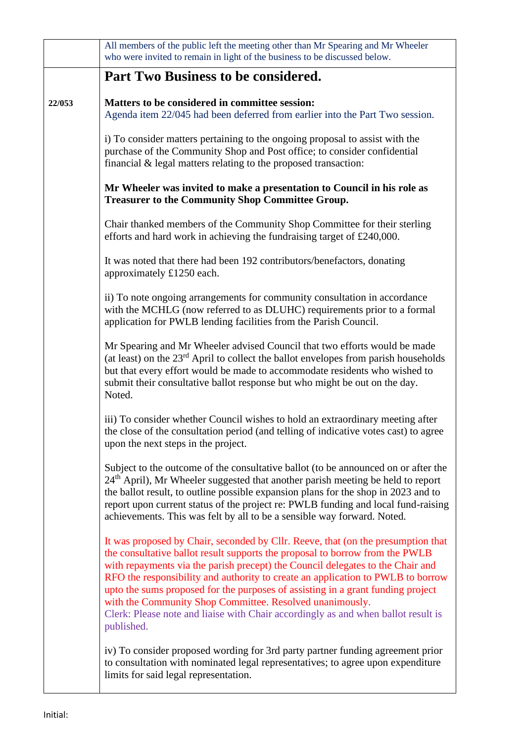|        | All members of the public left the meeting other than Mr Spearing and Mr Wheeler<br>who were invited to remain in light of the business to be discussed below.                                                                                                                                                                                                                                                                                                                                                                                                                          |  |  |  |  |
|--------|-----------------------------------------------------------------------------------------------------------------------------------------------------------------------------------------------------------------------------------------------------------------------------------------------------------------------------------------------------------------------------------------------------------------------------------------------------------------------------------------------------------------------------------------------------------------------------------------|--|--|--|--|
|        | Part Two Business to be considered.                                                                                                                                                                                                                                                                                                                                                                                                                                                                                                                                                     |  |  |  |  |
| 22/053 | Matters to be considered in committee session:<br>Agenda item 22/045 had been deferred from earlier into the Part Two session.                                                                                                                                                                                                                                                                                                                                                                                                                                                          |  |  |  |  |
|        | i) To consider matters pertaining to the ongoing proposal to assist with the<br>purchase of the Community Shop and Post office; to consider confidential<br>financial $\&$ legal matters relating to the proposed transaction:                                                                                                                                                                                                                                                                                                                                                          |  |  |  |  |
|        | Mr Wheeler was invited to make a presentation to Council in his role as<br><b>Treasurer to the Community Shop Committee Group.</b>                                                                                                                                                                                                                                                                                                                                                                                                                                                      |  |  |  |  |
|        | Chair thanked members of the Community Shop Committee for their sterling<br>efforts and hard work in achieving the fundraising target of £240,000.                                                                                                                                                                                                                                                                                                                                                                                                                                      |  |  |  |  |
|        | It was noted that there had been 192 contributors/benefactors, donating<br>approximately £1250 each.                                                                                                                                                                                                                                                                                                                                                                                                                                                                                    |  |  |  |  |
|        | ii) To note ongoing arrangements for community consultation in accordance<br>with the MCHLG (now referred to as DLUHC) requirements prior to a formal<br>application for PWLB lending facilities from the Parish Council.                                                                                                                                                                                                                                                                                                                                                               |  |  |  |  |
|        | Mr Spearing and Mr Wheeler advised Council that two efforts would be made<br>(at least) on the $23rd$ April to collect the ballot envelopes from parish households<br>but that every effort would be made to accommodate residents who wished to<br>submit their consultative ballot response but who might be out on the day.<br>Noted.                                                                                                                                                                                                                                                |  |  |  |  |
|        | iii) To consider whether Council wishes to hold an extraordinary meeting after<br>the close of the consultation period (and telling of indicative votes cast) to agree<br>upon the next steps in the project.                                                                                                                                                                                                                                                                                                                                                                           |  |  |  |  |
|        | Subject to the outcome of the consultative ballot (to be announced on or after the<br>24 <sup>th</sup> April), Mr Wheeler suggested that another parish meeting be held to report<br>the ballot result, to outline possible expansion plans for the shop in 2023 and to<br>report upon current status of the project re: PWLB funding and local fund-raising<br>achievements. This was felt by all to be a sensible way forward. Noted.                                                                                                                                                 |  |  |  |  |
|        | It was proposed by Chair, seconded by Cllr. Reeve, that (on the presumption that<br>the consultative ballot result supports the proposal to borrow from the PWLB<br>with repayments via the parish precept) the Council delegates to the Chair and<br>RFO the responsibility and authority to create an application to PWLB to borrow<br>upto the sums proposed for the purposes of assisting in a grant funding project<br>with the Community Shop Committee. Resolved unanimously.<br>Clerk: Please note and liaise with Chair accordingly as and when ballot result is<br>published. |  |  |  |  |
|        | iv) To consider proposed wording for 3rd party partner funding agreement prior<br>to consultation with nominated legal representatives; to agree upon expenditure<br>limits for said legal representation.                                                                                                                                                                                                                                                                                                                                                                              |  |  |  |  |